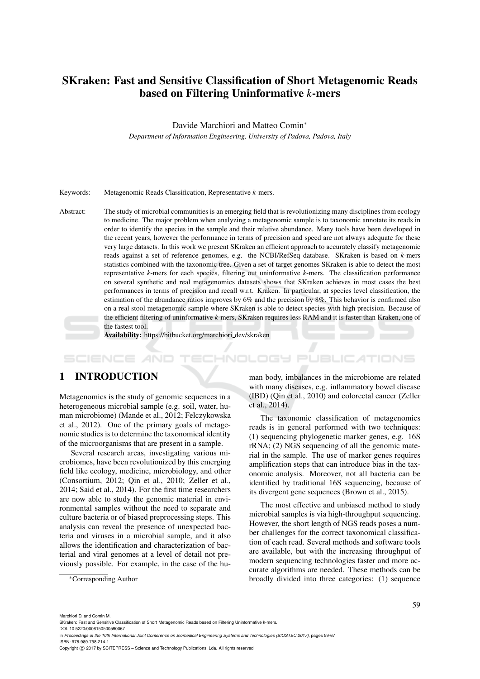# SKraken: Fast and Sensitive Classification of Short Metagenomic Reads based on Filtering Uninformative *k*-mers

Davide Marchiori and Matteo Comin<sup>∗</sup>

*Department of Information Engineering, University of Padova, Padova, Italy*

#### Keywords: Metagenomic Reads Classification, Representative *k*-mers.

Abstract: The study of microbial communities is an emerging field that is revolutionizing many disciplines from ecology to medicine. The major problem when analyzing a metagenomic sample is to taxonomic annotate its reads in order to identify the species in the sample and their relative abundance. Many tools have been developed in the recent years, however the performance in terms of precision and speed are not always adequate for these very large datasets. In this work we present SKraken an efficient approach to accurately classify metagenomic reads against a set of reference genomes, e.g. the NCBI/RefSeq database. SKraken is based on *k*-mers statistics combined with the taxonomic tree. Given a set of target genomes SKraken is able to detect the most representative *k*-mers for each species, filtering out uninformative *k*-mers. The classification performance on several synthetic and real metagenomics datasets shows that SKraken achieves in most cases the best performances in terms of precision and recall w.r.t. Kraken. In particular, at species level classification, the estimation of the abundance ratios improves by 6% and the precision by 8%. This behavior is confirmed also on a real stool metagenomic sample where SKraken is able to detect species with high precision. Because of the efficient filtering of uninformative *k*-mers, SKraken requires less RAM and it is faster than Kraken, one of the fastest tool.

Availability: https://bitbucket.org/marchiori dev/skraken

### HNOLOGY PUBLICATIONS

#### 1 INTRODUCTION

Metagenomics is the study of genomic sequences in a heterogeneous microbial sample (e.g. soil, water, human microbiome) (Mande et al., 2012; Felczykowska et al., 2012). One of the primary goals of metagenomic studies is to determine the taxonomical identity of the microorganisms that are present in a sample.

Several research areas, investigating various microbiomes, have been revolutionized by this emerging field like ecology, medicine, microbiology, and other (Consortium, 2012; Qin et al., 2010; Zeller et al., 2014; Said et al., 2014). For the first time researchers are now able to study the genomic material in environmental samples without the need to separate and culture bacteria or of biased preprocessing steps. This analysis can reveal the presence of unexpected bacteria and viruses in a microbial sample, and it also allows the identification and characterization of bacterial and viral genomes at a level of detail not previously possible. For example, in the case of the hu-

man body, imbalances in the microbiome are related with many diseases, e.g. inflammatory bowel disease (IBD) (Qin et al., 2010) and colorectal cancer (Zeller et al., 2014).

The taxonomic classification of metagenomics reads is in general performed with two techniques: (1) sequencing phylogenetic marker genes, e.g. 16S rRNA; (2) NGS sequencing of all the genomic material in the sample. The use of marker genes requires amplification steps that can introduce bias in the taxonomic analysis. Moreover, not all bacteria can be identified by traditional 16S sequencing, because of its divergent gene sequences (Brown et al., 2015).

The most effective and unbiased method to study microbial samples is via high-throughput sequencing. However, the short length of NGS reads poses a number challenges for the correct taxonomical classification of each read. Several methods and software tools are available, but with the increasing throughput of modern sequencing technologies faster and more accurate algorithms are needed. These methods can be broadly divided into three categories: (1) sequence

ISBN: 978-989-758-214-1

Copyright (C) 2017 by SCITEPRESS - Science and Technology Publications, Lda. All rights reserved

<sup>∗</sup>Corresponding Author

Marchiori D. and Comin M.

SKraken: Fast and Sensitive Classification of Short Metagenomic Reads based on Filtering Uninformative k-mers. DOI: 10.5220/0006150500590067

In *Proceedings of the 10th International Joint Conference on Biomedical Engineering Systems and Technologies (BIOSTEC 2017)*, pages 59-67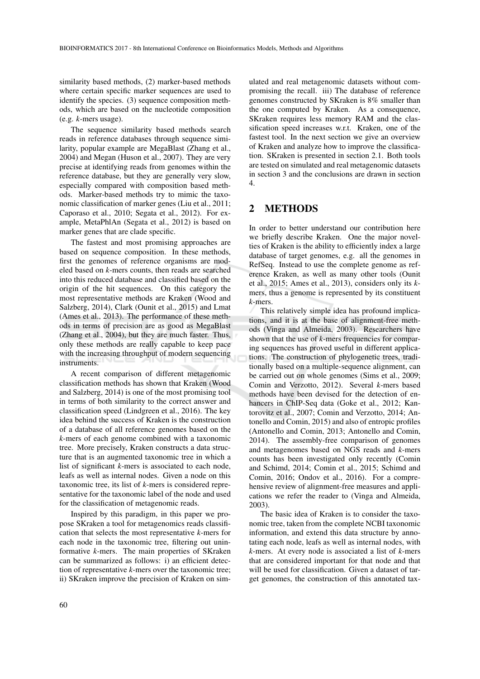similarity based methods, (2) marker-based methods where certain specific marker sequences are used to identify the species. (3) sequence composition methods, which are based on the nucleotide composition (e.g. *k*-mers usage).

The sequence similarity based methods search reads in reference databases through sequence similarity, popular example are MegaBlast (Zhang et al., 2004) and Megan (Huson et al., 2007). They are very precise at identifying reads from genomes within the reference database, but they are generally very slow, especially compared with composition based methods. Marker-based methods try to mimic the taxonomic classification of marker genes (Liu et al., 2011; Caporaso et al., 2010; Segata et al., 2012). For example, MetaPhlAn (Segata et al., 2012) is based on marker genes that are clade specific.

The fastest and most promising approaches are based on sequence composition. In these methods, first the genomes of reference organisms are modeled based on *k*-mers counts, then reads are searched into this reduced database and classified based on the origin of the hit sequences. On this category the most representative methods are Kraken (Wood and Salzberg, 2014), Clark (Ounit et al., 2015) and Lmat (Ames et al., 2013). The performance of these methods in terms of precision are as good as MegaBlast (Zhang et al., 2004), but they are much faster. Thus, only these methods are really capable to keep pace with the increasing throughput of modern sequencing instruments.

A recent comparison of different metagenomic classification methods has shown that Kraken (Wood and Salzberg, 2014) is one of the most promising tool in terms of both similarity to the correct answer and classification speed (Lindgreen et al., 2016). The key idea behind the success of Kraken is the construction of a database of all reference genomes based on the *k*-mers of each genome combined with a taxonomic tree. More precisely, Kraken constructs a data structure that is an augmented taxonomic tree in which a list of significant *k*-mers is associated to each node, leafs as well as internal nodes. Given a node on this taxonomic tree, its list of *k*-mers is considered representative for the taxonomic label of the node and used for the classification of metagenomic reads.

Inspired by this paradigm, in this paper we propose SKraken a tool for metagenomics reads classification that selects the most representative *k*-mers for each node in the taxonomic tree, filtering out uninformative *k*-mers. The main properties of SKraken can be summarized as follows: i) an efficient detection of representative *k*-mers over the taxonomic tree; ii) SKraken improve the precision of Kraken on sim-

ulated and real metagenomic datasets without compromising the recall. iii) The database of reference genomes constructed by SKraken is 8% smaller than the one computed by Kraken. As a consequence, SKraken requires less memory RAM and the classification speed increases w.r.t. Kraken, one of the fastest tool. In the next section we give an overview of Kraken and analyze how to improve the classification. SKraken is presented in section 2.1. Both tools are tested on simulated and real metagenomic datasets in section 3 and the conclusions are drawn in section 4.

#### 2 METHODS

In order to better understand our contribution here we briefly describe Kraken. One the major novelties of Kraken is the ability to efficiently index a large database of target genomes, e.g. all the genomes in RefSeq. Instead to use the complete genome as reference Kraken, as well as many other tools (Ounit et al., 2015; Ames et al., 2013), considers only its *k*mers, thus a genome is represented by its constituent *k*-mers.

This relatively simple idea has profound implications, and it is at the base of alignment-free methods (Vinga and Almeida, 2003). Researchers have shown that the use of *k*-mers frequencies for comparing sequences has proved useful in different applications. The construction of phylogenetic trees, traditionally based on a multiple-sequence alignment, can be carried out on whole genomes (Sims et al., 2009; Comin and Verzotto, 2012). Several *k*-mers based methods have been devised for the detection of enhancers in ChIP-Seq data (Goke et al., 2012; Kantorovitz et al., 2007; Comin and Verzotto, 2014; Antonello and Comin, 2015) and also of entropic profiles (Antonello and Comin, 2013; Antonello and Comin, 2014). The assembly-free comparison of genomes and metagenomes based on NGS reads and *k*-mers counts has been investigated only recently (Comin and Schimd, 2014; Comin et al., 2015; Schimd and Comin, 2016; Ondov et al., 2016). For a comprehensive review of alignment-free measures and applications we refer the reader to (Vinga and Almeida, 2003).

The basic idea of Kraken is to consider the taxonomic tree, taken from the complete NCBI taxonomic information, and extend this data structure by annotating each node, leafs as well as internal nodes, with *k*-mers. At every node is associated a list of *k*-mers that are considered important for that node and that will be used for classification. Given a dataset of target genomes, the construction of this annotated tax-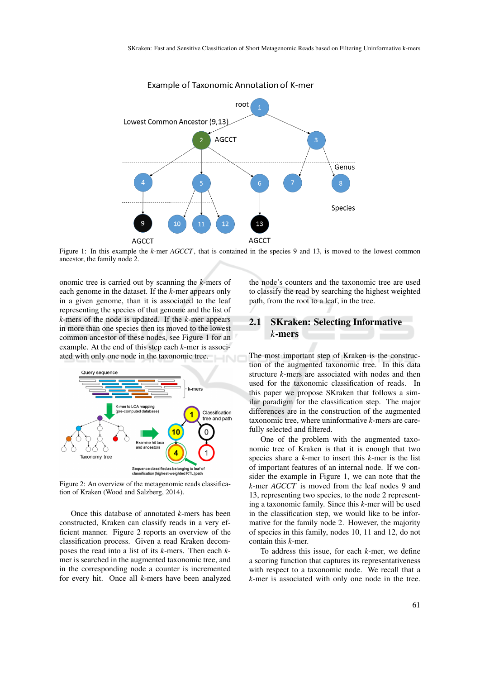

Example of Taxonomic Annotation of K-mer

Figure 1: In this example the *k*-mer *AGCCT*, that is contained in the species 9 and 13, is moved to the lowest common ancestor, the family node 2.

onomic tree is carried out by scanning the *k*-mers of each genome in the dataset. If the *k*-mer appears only in a given genome, than it is associated to the leaf representing the species of that genome and the list of *k*-mers of the node is updated. If the *k*-mer appears in more than one species then its moved to the lowest common ancestor of these nodes, see Figure 1 for an example. At the end of this step each *k*-mer is associated with only one node in the taxonomic tree.



Figure 2: An overview of the metagenomic reads classification of Kraken (Wood and Salzberg, 2014).

Once this database of annotated *k*-mers has been constructed, Kraken can classify reads in a very efficient manner. Figure 2 reports an overview of the classification process. Given a read Kraken decomposes the read into a list of its *k*-mers. Then each *k*mer is searched in the augmented taxonomic tree, and in the corresponding node a counter is incremented for every hit. Once all *k*-mers have been analyzed

the node's counters and the taxonomic tree are used to classify the read by searching the highest weighted path, from the root to a leaf, in the tree.

## 2.1 SKraken: Selecting Informative *k*-mers

The most important step of Kraken is the construction of the augmented taxonomic tree. In this data structure *k*-mers are associated with nodes and then used for the taxonomic classification of reads. In this paper we propose SKraken that follows a similar paradigm for the classification step. The major differences are in the construction of the augmented taxonomic tree, where uninformative *k*-mers are carefully selected and filtered.

One of the problem with the augmented taxonomic tree of Kraken is that it is enough that two species share a *k*-mer to insert this *k*-mer is the list of important features of an internal node. If we consider the example in Figure 1, we can note that the *k*-mer *AGCCT* is moved from the leaf nodes 9 and 13, representing two species, to the node 2 representing a taxonomic family. Since this *k*-mer will be used in the classification step, we would like to be informative for the family node 2. However, the majority of species in this family, nodes 10, 11 and 12, do not contain this *k*-mer.

To address this issue, for each *k*-mer, we define a scoring function that captures its representativeness with respect to a taxonomic node. We recall that a *k*-mer is associated with only one node in the tree.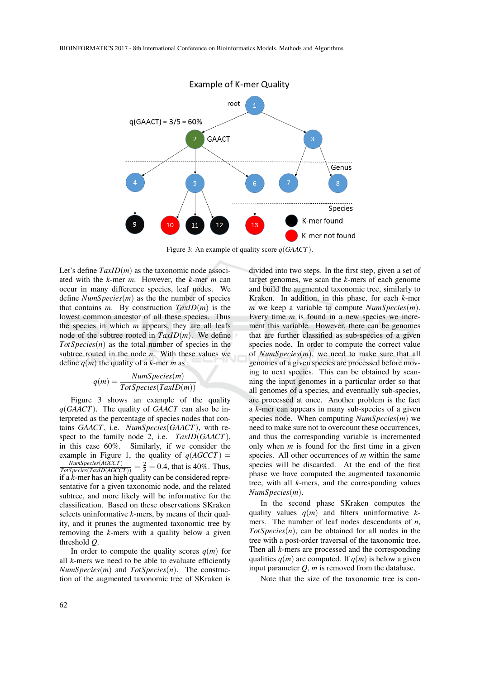

Figure 3: An example of quality score *q*(*GAACT*).

Let's define  $TaxID(m)$  as the taxonomic node associated with the *k*-mer *m*. However, the *k*-mer *m* can occur in many difference species, leaf nodes. We define *NumSpecies*(*m*) as the the number of species that contains  $m$ . By construction  $TaxID(m)$  is the lowest common ancestor of all these species. Thus the species in which *m* appears, they are all leafs node of the subtree rooted in *TaxID*(*m*). We define *TotSpecies*(*n*) as the total number of species in the subtree routed in the node *n*. With these values we define  $q(m)$  the quality of a *k*-mer *m* as :

$$
q(m) = \frac{Num Species(m)}{Tot Species(TaxID(m))}
$$

Figure 3 shows an example of the quality *q*(*GAACT*). The quality of *GAACT* can also be interpreted as the percentage of species nodes that contains *GAACT*, i.e. *NumSpecies*(*GAACT*), with respect to the family node 2, i.e. *TaxID*(*GAACT*), in this case 60%. Similarly, if we consider the example in Figure 1, the quality of  $q(AGCCT)$  =  $\frac{Num Species(AGCCT)}{Tot Species(TaxID(AGCCT))} = \frac{2}{5} = 0.4$ , that is 40%. Thus, if a *k*-mer has an high quality can be considered representative for a given taxonomic node, and the related subtree, and more likely will be informative for the classification. Based on these observations SKraken selects uninformative *k*-mers, by means of their quality, and it prunes the augmented taxonomic tree by removing the *k*-mers with a quality below a given threshold *Q*.

In order to compute the quality scores  $q(m)$  for all *k*-mers we need to be able to evaluate efficiently *NumSpecies*(*m*) and *TotSpecies*(*n*). The construction of the augmented taxonomic tree of SKraken is divided into two steps. In the first step, given a set of target genomes, we scan the *k*-mers of each genome and build the augmented taxonomic tree, similarly to Kraken. In addition, in this phase, for each *k*-mer *m* we keep a variable to compute *NumSpecies*(*m*). Every time *m* is found in a new species we increment this variable. However, there can be genomes that are further classified as sub-species of a given species node. In order to compute the correct value of *NumSpecies*(*m*), we need to make sure that all genomes of a given species are processed before moving to next species. This can be obtained by scanning the input genomes in a particular order so that all genomes of a species, and eventually sub-species, are processed at once. Another problem is the fact a *k*-mer can appears in many sub-species of a given species node. When computing *NumSpecies*(*m*) we need to make sure not to overcount these occurrences, and thus the corresponding variable is incremented only when *m* is found for the first time in a given species. All other occurrences of *m* within the same species will be discarded. At the end of the first phase we have computed the augmented taxonomic tree, with all *k*-mers, and the corresponding values *NumSpecies*(*m*).

In the second phase SKraken computes the quality values  $q(m)$  and filters uninformative  $k$ mers. The number of leaf nodes descendants of *n*, *TotSpecies*(*n*), can be obtained for all nodes in the tree with a post-order traversal of the taxonomic tree. Then all *k*-mers are processed and the corresponding qualities  $q(m)$  are computed. If  $q(m)$  is below a given input parameter  $Q$ ,  $m$  is removed from the database.

Note that the size of the taxonomic tree is con-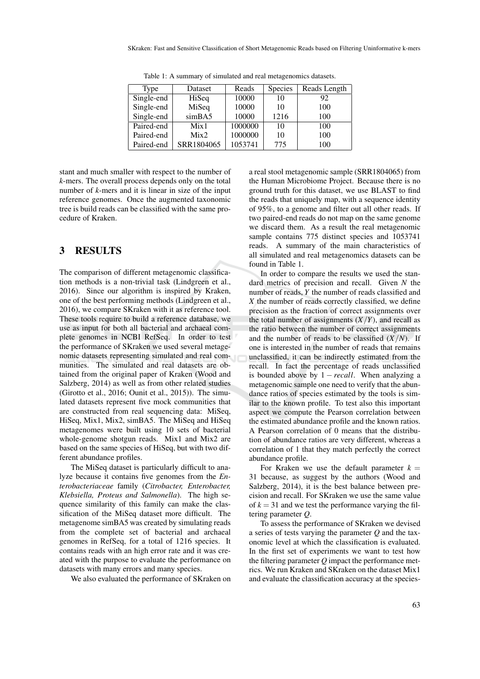| Type                           | Dataset    | Reads   | Species | Reads Length |
|--------------------------------|------------|---------|---------|--------------|
| $\overline{\text{Single-end}}$ | HiSeq      | 10000   | 10      | 92           |
| Single-end                     | MiSeq      | 10000   | 10      | 100          |
| Single-end                     | simBA5     | 10000   | 1216    | 100          |
| Paired-end                     | Mix1       | 1000000 | 10      | 100          |
| Paired-end                     | Mix2       | 1000000 | 10      | 100          |
| Paired-end                     | SRR1804065 | 1053741 | 775     | 100          |

Table 1: A summary of simulated and real metagenomics datasets.

stant and much smaller with respect to the number of *k*-mers. The overall process depends only on the total number of *k*-mers and it is linear in size of the input reference genomes. Once the augmented taxonomic tree is build reads can be classified with the same procedure of Kraken.

#### 3 RESULTS

The comparison of different metagenomic classification methods is a non-trivial task (Lindgreen et al., 2016). Since our algorithm is inspired by Kraken, one of the best performing methods (Lindgreen et al., 2016), we compare SKraken with it as reference tool. These tools require to build a reference database, we use as input for both all bacterial and archaeal complete genomes in NCBI RefSeq. In order to test the performance of SKraken we used several metagenomic datasets representing simulated and real communities. The simulated and real datasets are obtained from the original paper of Kraken (Wood and Salzberg, 2014) as well as from other related studies (Girotto et al., 2016; Ounit et al., 2015)). The simulated datasets represent five mock communities that are constructed from real sequencing data: MiSeq, HiSeq, Mix1, Mix2, simBA5. The MiSeq and HiSeq metagenomes were built using 10 sets of bacterial whole-genome shotgun reads. Mix1 and Mix2 are based on the same species of HiSeq, but with two different abundance profiles.

The MiSeq dataset is particularly difficult to analyze because it contains five genomes from the *Enterobacteriaceae* family (*Citrobacter, Enterobacter, Klebsiella, Proteus and Salmonella*). The high sequence similarity of this family can make the classification of the MiSeq dataset more difficult. The metagenome simBA5 was created by simulating reads from the complete set of bacterial and archaeal genomes in RefSeq, for a total of 1216 species. It contains reads with an high error rate and it was created with the purpose to evaluate the performance on datasets with many errors and many species.

We also evaluated the performance of SKraken on

a real stool metagenomic sample (SRR1804065) from the Human Microbiome Project. Because there is no ground truth for this dataset, we use BLAST to find the reads that uniquely map, with a sequence identity of 95%, to a genome and filter out all other reads. If two paired-end reads do not map on the same genome we discard them. As a result the real metagenomic sample contains 775 distinct species and 1053741 reads. A summary of the main characteristics of all simulated and real metagenomics datasets can be found in Table 1.

In order to compare the results we used the standard metrics of precision and recall. Given *N* the number of reads, *Y* the number of reads classified and *X* the number of reads correctly classified, we define precision as the fraction of correct assignments over the total number of assignments  $(X/Y)$ , and recall as the ratio between the number of correct assignments and the number of reads to be classified  $(X/N)$ . If one is interested in the number of reads that remains unclassified, it can be indirectly estimated from the recall. In fact the percentage of reads unclassified is bounded above by  $1 - recall$ . When analyzing a metagenomic sample one need to verify that the abundance ratios of species estimated by the tools is similar to the known profile. To test also this important aspect we compute the Pearson correlation between the estimated abundance profile and the known ratios. A Pearson correlation of 0 means that the distribution of abundance ratios are very different, whereas a correlation of 1 that they match perfectly the correct abundance profile.

For Kraken we use the default parameter  $k =$ 31 because, as suggest by the authors (Wood and Salzberg, 2014), it is the best balance between precision and recall. For SKraken we use the same value of  $k = 31$  and we test the performance varying the filtering parameter *Q*.

To assess the performance of SKraken we devised a series of tests varying the parameter *Q* and the taxonomic level at which the classification is evaluated. In the first set of experiments we want to test how the filtering parameter *Q* impact the performance metrics. We run Kraken and SKraken on the dataset Mix1 and evaluate the classification accuracy at the species-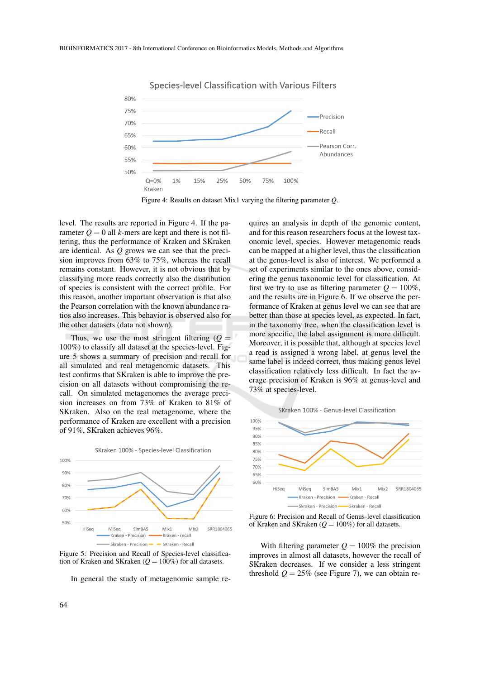

Species-level Classification with Various Filters



level. The results are reported in Figure 4. If the parameter  $Q = 0$  all *k*-mers are kept and there is not filtering, thus the performance of Kraken and SKraken are identical. As *Q* grows we can see that the precision improves from 63% to 75%, whereas the recall remains constant. However, it is not obvious that by classifying more reads correctly also the distribution of species is consistent with the correct profile. For this reason, another important observation is that also the Pearson correlation with the known abundance ratios also increases. This behavior is observed also for the other datasets (data not shown).

Thus, we use the most stringent filtering  $(Q =$ 100%) to classify all dataset at the species-level. Figure 5 shows a summary of precision and recall for all simulated and real metagenomic datasets. This test confirms that SKraken is able to improve the precision on all datasets without compromising the recall. On simulated metagenomes the average precision increases on from 73% of Kraken to 81% of SKraken. Also on the real metagenome, where the performance of Kraken are excellent with a precision of 91%, SKraken achieves 96%.



Figure 5: Precision and Recall of Species-level classification of Kraken and SKraken ( $Q = 100\%$ ) for all datasets.

In general the study of metagenomic sample re-

quires an analysis in depth of the genomic content, and for this reason researchers focus at the lowest taxonomic level, species. However metagenomic reads can be mapped at a higher level, thus the classification at the genus-level is also of interest. We performed a set of experiments similar to the ones above, considering the genus taxonomic level for classification. At first we try to use as filtering parameter  $Q = 100\%$ . and the results are in Figure 6. If we observe the performance of Kraken at genus level we can see that are better than those at species level, as expected. In fact, in the taxonomy tree, when the classification level is more specific, the label assignment is more difficult. Moreover, it is possible that, although at species level a read is assigned a wrong label, at genus level the same label is indeed correct, thus making genus level classification relatively less difficult. In fact the average precision of Kraken is 96% at genus-level and 73% at species-level.

SKraken 100% - Genus-level Classification



Figure 6: Precision and Recall of Genus-level classification of Kraken and SKraken  $(Q = 100\%)$  for all datasets.

With filtering parameter  $Q = 100\%$  the precision improves in almost all datasets, however the recall of SKraken decreases. If we consider a less stringent threshold  $Q = 25\%$  (see Figure 7), we can obtain re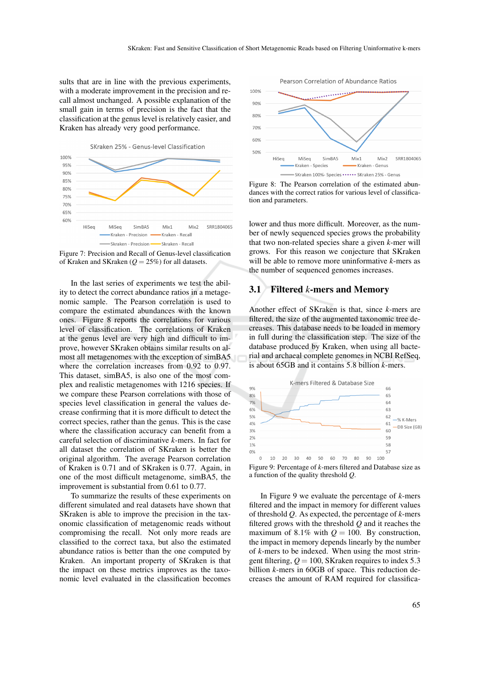sults that are in line with the previous experiments, with a moderate improvement in the precision and recall almost unchanged. A possible explanation of the small gain in terms of precision is the fact that the classification at the genus level is relatively easier, and Kraken has already very good performance.





Figure 7: Precision and Recall of Genus-level classification of Kraken and SKraken  $(Q = 25\%)$  for all datasets.

In the last series of experiments we test the ability to detect the correct abundance ratios in a metagenomic sample. The Pearson correlation is used to compare the estimated abundances with the known ones. Figure 8 reports the correlations for various level of classification. The correlations of Kraken at the genus level are very high and difficult to improve, however SKraken obtains similar results on almost all metagenomes with the exception of simBA5 where the correlation increases from 0.92 to 0.97. This dataset, simBA5, is also one of the most complex and realistic metagenomes with 1216 species. If we compare these Pearson correlations with those of species level classification in general the values decrease confirming that it is more difficult to detect the correct species, rather than the genus. This is the case where the classification accuracy can benefit from a careful selection of discriminative *k*-mers. In fact for all dataset the correlation of SKraken is better the original algorithm. The average Pearson correlation of Kraken is 0.71 and of SKraken is 0.77. Again, in one of the most difficult metagenome, simBA5, the improvement is substantial from 0.61 to 0.77.

To summarize the results of these experiments on different simulated and real datasets have shown that SKraken is able to improve the precision in the taxonomic classification of metagenomic reads without compromising the recall. Not only more reads are classified to the correct taxa, but also the estimated abundance ratios is better than the one computed by Kraken. An important property of SKraken is that the impact on these metrics improves as the taxonomic level evaluated in the classification becomes



Figure 8: The Pearson correlation of the estimated abundances with the correct ratios for various level of classification and parameters.

lower and thus more difficult. Moreover, as the number of newly sequenced species grows the probability that two non-related species share a given *k*-mer will grows. For this reason we conjecture that SKraken will be able to remove more uninformative *k*-mers as the number of sequenced genomes increases.

#### 3.1 Filtered *k*-mers and Memory

Another effect of SKraken is that, since *k*-mers are filtered, the size of the augmented taxonomic tree decreases. This database needs to be loaded in memory in full during the classification step. The size of the database produced by Kraken, when using all bacterial and archaeal complete genomes in NCBI RefSeq, is about 65GB and it contains 5.8 billion *k*-mers.



a function of the quality threshold *Q*.

In Figure 9 we evaluate the percentage of *k*-mers filtered and the impact in memory for different values of threshold *Q*. As expected, the percentage of *k*-mers filtered grows with the threshold *Q* and it reaches the maximum of 8.1% with  $Q = 100$ . By construction, the impact in memory depends linearly by the number of *k*-mers to be indexed. When using the most stringent filtering,  $Q = 100$ , SKraken requires to index 5.3 billion *k*-mers in 60GB of space. This reduction decreases the amount of RAM required for classifica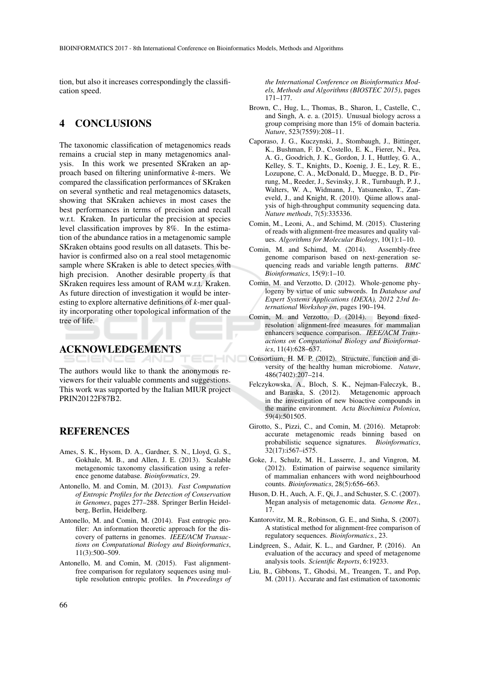tion, but also it increases correspondingly the classification speed.

#### 4 CONCLUSIONS

The taxonomic classification of metagenomics reads remains a crucial step in many metagenomics analysis. In this work we presented SKraken an approach based on filtering uninformative *k*-mers. We compared the classification performances of SKraken on several synthetic and real metagenomics datasets, showing that SKraken achieves in most cases the best performances in terms of precision and recall w.r.t. Kraken. In particular the precision at species level classification improves by 8%. In the estimation of the abundance ratios in a metagenomic sample SKraken obtains good results on all datasets. This behavior is confirmed also on a real stool metagenomic sample where SKraken is able to detect species with high precision. Another desirable property is that SKraken requires less amount of RAM w.r.t. Kraken. As future direction of investigation it would be interesting to explore alternative definitions of *k*-mer quality incorporating other topological information of the tree of life.

# ACKNOWLEDGEMENTS

The authors would like to thank the anonymous reviewers for their valuable comments and suggestions. This work was supported by the Italian MIUR project PRIN20122F87B2.

#### REFERENCES

- Ames, S. K., Hysom, D. A., Gardner, S. N., Lloyd, G. S., Gokhale, M. B., and Allen, J. E. (2013). Scalable metagenomic taxonomy classification using a reference genome database. *Bioinformatics*, 29.
- Antonello, M. and Comin, M. (2013). *Fast Computation of Entropic Profiles for the Detection of Conservation in Genomes*, pages 277–288. Springer Berlin Heidelberg, Berlin, Heidelberg.
- Antonello, M. and Comin, M. (2014). Fast entropic profiler: An information theoretic approach for the discovery of patterns in genomes. *IEEE/ACM Transactions on Computational Biology and Bioinformatics*, 11(3):500–509.
- Antonello, M. and Comin, M. (2015). Fast alignmentfree comparison for regulatory sequences using multiple resolution entropic profiles. In *Proceedings of*

*the International Conference on Bioinformatics Models, Methods and Algorithms (BIOSTEC 2015)*, pages 171–177.

- Brown, C., Hug, L., Thomas, B., Sharon, I., Castelle, C., and Singh, A. e. a. (2015). Unusual biology across a group comprising more than 15% of domain bacteria. *Nature*, 523(7559):208–11.
- Caporaso, J. G., Kuczynski, J., Stombaugh, J., Bittinger, K., Bushman, F. D., Costello, E. K., Fierer, N., Pea, A. G., Goodrich, J. K., Gordon, J. I., Huttley, G. A., Kelley, S. T., Knights, D., Koenig, J. E., Ley, R. E., Lozupone, C. A., McDonald, D., Muegge, B. D., Pirrung, M., Reeder, J., Sevinsky, J. R., Turnbaugh, P. J., Walters, W. A., Widmann, J., Yatsunenko, T., Zaneveld, J., and Knight, R. (2010). Qiime allows analysis of high-throughput community sequencing data. *Nature methods*, 7(5):335336.
- Comin, M., Leoni, A., and Schimd, M. (2015). Clustering of reads with alignment-free measures and quality values. *Algorithms for Molecular Biology*, 10(1):1–10.
- Comin, M. and Schimd, M. (2014). Assembly-free genome comparison based on next-generation sequencing reads and variable length patterns. *BMC Bioinformatics*, 15(9):1–10.
- Comin, M. and Verzotto, D. (2012). Whole-genome phylogeny by virtue of unic subwords. In *Database and Expert Systems Applications (DEXA), 2012 23rd International Workshop on*, pages 190–194.
- Comin, M. and Verzotto, D. (2014). Beyond fixedresolution alignment-free measures for mammalian enhancers sequence comparison. *IEEE/ACM Transactions on Computational Biology and Bioinformatics*, 11(4):628–637.
- Consortium, H. M. P. (2012). Structure, function and diversity of the healthy human microbiome. *Nature*, 486(7402):207–214.
- Felczykowska, A., Bloch, S. K., Nejman-Faleczyk, B., and Baraska, S. (2012). Metagenomic approach in the investigation of new bioactive compounds in the marine environment. *Acta Biochimica Polonica*, 59(4):501505.
- Girotto, S., Pizzi, C., and Comin, M. (2016). Metaprob: accurate metagenomic reads binning based on probabilistic sequence signatures. *Bioinformatics*, 32(17):i567–i575.
- Goke, J., Schulz, M. H., Lasserre, J., and Vingron, M. (2012). Estimation of pairwise sequence similarity of mammalian enhancers with word neighbourhood counts. *Bioinformatics*, 28(5):656–663.
- Huson, D. H., Auch, A. F., Qi, J., and Schuster, S. C. (2007). Megan analysis of metagenomic data. *Genome Res.*, 17.
- Kantorovitz, M. R., Robinson, G. E., and Sinha, S. (2007). A statistical method for alignment-free comparison of regulatory sequences. *Bioinformatics.*, 23.
- Lindgreen, S., Adair, K. L., and Gardner, P. (2016). An evaluation of the accuracy and speed of metagenome analysis tools. *Scientific Reports*, 6:19233.
- Liu, B., Gibbons, T., Ghodsi, M., Treangen, T., and Pop, M. (2011). Accurate and fast estimation of taxonomic